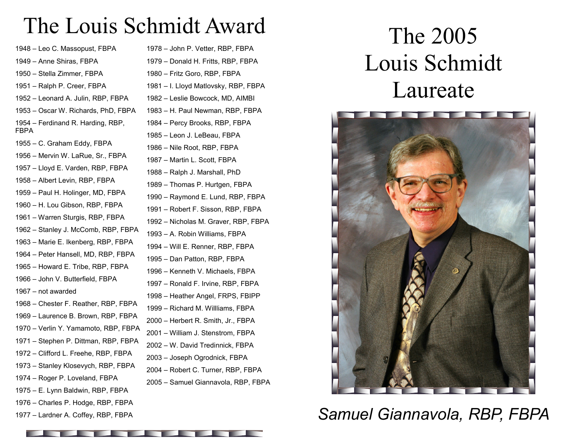## The Louis Schmidt Award

– Leo C. Massopust, FBPA – Anne Shiras, FBPA – Stella Zimmer, FBPA – Ralph P. Creer, FBPA – Leonard A. Julin, RBP, FBPA – Oscar W. Richards, PhD, FBPA – Ferdinand R. Harding, RBP, FBPA – C. Graham Eddy, FBPA – Mervin W. LaRue, Sr., FBPA – Lloyd E. Varden, RBP, FBPA – Albert Levin, RBP, FBPA – Paul H. Holinger, MD, FBPA – H. Lou Gibson, RBP, FBPA – Warren Sturgis, RBP, FBPA – Stanley J. McComb, RBP, FBPA – Marie E. Ikenberg, RBP, FBPA – Peter Hansell, MD, RBP, FBPA – Howard E. Tribe, RBP, FBPA – John V. Butterfield, FBPA – not awarded – Chester F. Reather, RBP, FBPA – Laurence B. Brown, RBP, FBPA – Verlin Y. Yamamoto, RBP, FBPA – Stephen P. Dittman, RBP, FBPA – Clifford L. Freehe, RBP, FBPA – Stanley Klosevych, RBP, FBPA – Roger P. Loveland, FBPA – E. Lynn Baldwin, RBP, FBPA – Charles P. Hodge, RBP, FBPA

– Lardner A. Coffey, RBP, FBPA

– John P. Vetter, RBP, FBPA – Donald H. Fritts, RBP, FBPA – Fritz Goro, RBP, FBPA – I. Lloyd Matlovsky, RBP, FBPA – Leslie Bowcock, MD, AIMBI – H. Paul Newman, RBP, FBPA – Percy Brooks, RBP, FBPA – Leon J. LeBeau, FBPA – Nile Root, RBP, FBPA – Martin L. Scott, FBPA – Ralph J. Marshall, PhD – Thomas P. Hurtgen, FBPA – Raymond E. Lund, RBP, FBPA – Robert F. Sisson, RBP, FBPA – Nicholas M. Graver, RBP, FBPA – A. Robin Williams, FBPA – Will E. Renner, RBP, FBPA – Dan Patton, RBP, FBPA – Kenneth V. Michaels, FBPA – Ronald F. Irvine, RBP, FBPA – Heather Angel, FRPS, FBIPP – Richard M. Willliams, FBPA – Herbert R. Smith, Jr., FBPA – William J. Stenstrom, FBPA – W. David Tredinnick, FBPA – Joseph Ogrodnick, FBPA – Robert C. Turner, RBP, FBPA – Samuel Giannavola, RBP, FBPA

# The 2005 Louis Schmidt Laureate



#### *Samuel Giannavola, RBP, FBPA*